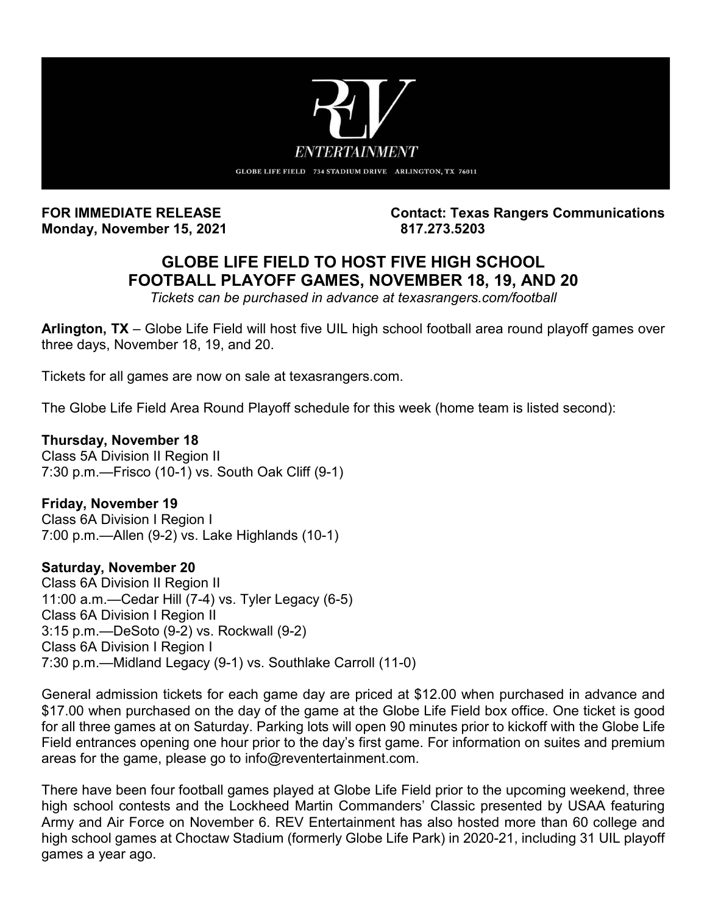

**Monday, November 15, 2021** 817.273.5203

FOR IMMEDIATE RELEASE **Contact: Texas Rangers Communications** 

## **GLOBE LIFE FIELD TO HOST FIVE HIGH SCHOOL FOOTBALL PLAYOFF GAMES, NOVEMBER 18, 19, AND 20**

*Tickets can be purchased in advance at texasrangers.com/football* 

**Arlington, TX** – Globe Life Field will host five UIL high school football area round playoff games over three days, November 18, 19, and 20.

Tickets for all games are now on sale at texasrangers.com.

The Globe Life Field Area Round Playoff schedule for this week (home team is listed second):

## **Thursday, November 18**

Class 5A Division II Region II 7:30 p.m.—Frisco (10-1) vs. South Oak Cliff (9-1)

## **Friday, November 19**

Class 6A Division I Region I 7:00 p.m.—Allen (9-2) vs. Lake Highlands (10-1)

## **Saturday, November 20**

Class 6A Division II Region II 11:00 a.m.—Cedar Hill (7-4) vs. Tyler Legacy (6-5) Class 6A Division I Region II 3:15 p.m.—DeSoto (9-2) vs. Rockwall (9-2) Class 6A Division I Region I 7:30 p.m.—Midland Legacy (9-1) vs. Southlake Carroll (11-0)

General admission tickets for each game day are priced at \$12.00 when purchased in advance and \$17.00 when purchased on the day of the game at the Globe Life Field box office. One ticket is good for all three games at on Saturday. Parking lots will open 90 minutes prior to kickoff with the Globe Life Field entrances opening one hour prior to the day's first game. For information on suites and premium areas for the game, please go to info@reventertainment.com.

There have been four football games played at Globe Life Field prior to the upcoming weekend, three high school contests and the Lockheed Martin Commanders' Classic presented by USAA featuring Army and Air Force on November 6. REV Entertainment has also hosted more than 60 college and high school games at Choctaw Stadium (formerly Globe Life Park) in 2020-21, including 31 UIL playoff games a year ago.